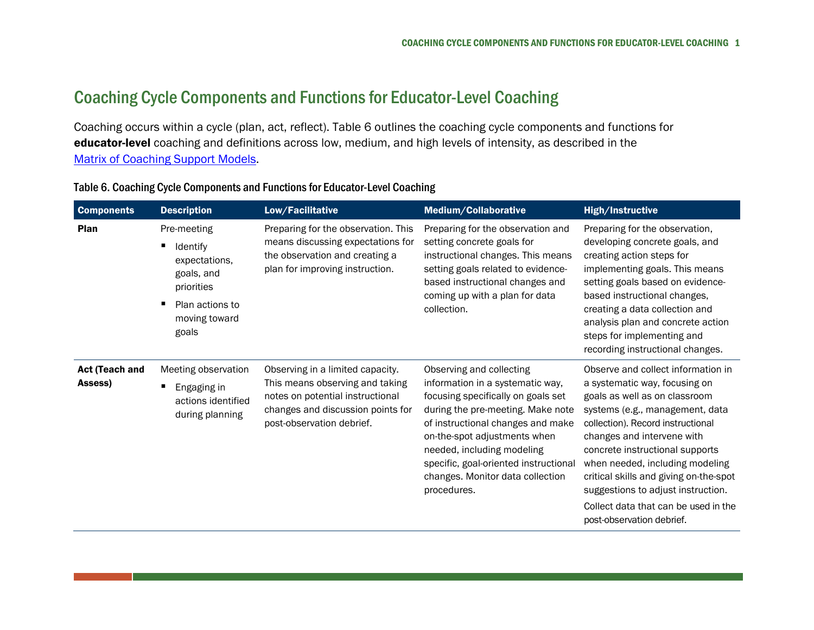## Coaching Cycle Components and Functions for Educator-Level Coaching

Coaching occurs within a cycle (plan, act, reflect). Table 6 outlines the coaching cycle components and functions for educator-level coaching and definitions across low, medium, and high levels of intensity, as described in the Matrix of Coaching Support Models.

| Table 6. Coaching Cycle Components and Functions for Educator-Level Coaching |  |
|------------------------------------------------------------------------------|--|
|------------------------------------------------------------------------------|--|

| <b>Components</b>                | <b>Description</b>                                                          | Low/Facilitative                                                                                                                                                          | Medium/Collaborative                                                                                                                                                                                                                                                                                                                   | High/Instructive                                                                                                                                                                                                                                                                                                                                                                                                                      |
|----------------------------------|-----------------------------------------------------------------------------|---------------------------------------------------------------------------------------------------------------------------------------------------------------------------|----------------------------------------------------------------------------------------------------------------------------------------------------------------------------------------------------------------------------------------------------------------------------------------------------------------------------------------|---------------------------------------------------------------------------------------------------------------------------------------------------------------------------------------------------------------------------------------------------------------------------------------------------------------------------------------------------------------------------------------------------------------------------------------|
| <b>Plan</b>                      | Pre-meeting<br>Identify<br>expectations,<br>goals, and<br>priorities        | Preparing for the observation. This<br>means discussing expectations for<br>the observation and creating a<br>plan for improving instruction.                             | Preparing for the observation and<br>setting concrete goals for<br>instructional changes. This means<br>setting goals related to evidence-<br>based instructional changes and<br>coming up with a plan for data<br>collection.                                                                                                         | Preparing for the observation,<br>developing concrete goals, and<br>creating action steps for<br>implementing goals. This means<br>setting goals based on evidence-<br>based instructional changes,<br>creating a data collection and<br>analysis plan and concrete action<br>steps for implementing and<br>recording instructional changes.                                                                                          |
|                                  | Plan actions to<br>moving toward<br>goals                                   |                                                                                                                                                                           |                                                                                                                                                                                                                                                                                                                                        |                                                                                                                                                                                                                                                                                                                                                                                                                                       |
| <b>Act (Teach and</b><br>Assess) | Meeting observation<br>Engaging in<br>actions identified<br>during planning | Observing in a limited capacity.<br>This means observing and taking<br>notes on potential instructional<br>changes and discussion points for<br>post-observation debrief. | Observing and collecting<br>information in a systematic way,<br>focusing specifically on goals set<br>during the pre-meeting. Make note<br>of instructional changes and make<br>on-the-spot adjustments when<br>needed, including modeling<br>specific, goal-oriented instructional<br>changes. Monitor data collection<br>procedures. | Observe and collect information in<br>a systematic way, focusing on<br>goals as well as on classroom<br>systems (e.g., management, data<br>collection). Record instructional<br>changes and intervene with<br>concrete instructional supports<br>when needed, including modeling<br>critical skills and giving on-the-spot<br>suggestions to adjust instruction.<br>Collect data that can be used in the<br>post-observation debrief. |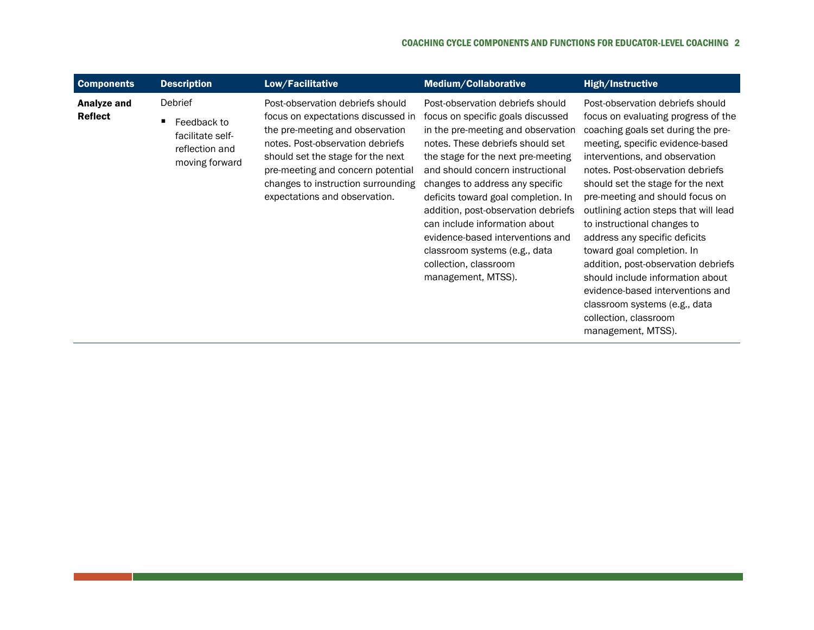| <b>Components</b>             | <b>Description</b>                                                             | Low/Facilitative                                                                                                                                                                                                                                                                               | Medium/Collaborative                                                                                                                                                                                                                                                                                                                                                                                                                                                                            | High/Instructive                                                                                                                                                                                                                                                                                                                                                                                                                                                                                                                                                                                                                      |
|-------------------------------|--------------------------------------------------------------------------------|------------------------------------------------------------------------------------------------------------------------------------------------------------------------------------------------------------------------------------------------------------------------------------------------|-------------------------------------------------------------------------------------------------------------------------------------------------------------------------------------------------------------------------------------------------------------------------------------------------------------------------------------------------------------------------------------------------------------------------------------------------------------------------------------------------|---------------------------------------------------------------------------------------------------------------------------------------------------------------------------------------------------------------------------------------------------------------------------------------------------------------------------------------------------------------------------------------------------------------------------------------------------------------------------------------------------------------------------------------------------------------------------------------------------------------------------------------|
| Analyze and<br><b>Reflect</b> | Debrief<br>Feedback to<br>facilitate self-<br>reflection and<br>moving forward | Post-observation debriefs should<br>focus on expectations discussed in<br>the pre-meeting and observation<br>notes. Post-observation debriefs<br>should set the stage for the next<br>pre-meeting and concern potential<br>changes to instruction surrounding<br>expectations and observation. | Post-observation debriefs should<br>focus on specific goals discussed<br>in the pre-meeting and observation<br>notes. These debriefs should set<br>the stage for the next pre-meeting<br>and should concern instructional<br>changes to address any specific<br>deficits toward goal completion. In<br>addition, post-observation debriefs<br>can include information about<br>evidence-based interventions and<br>classroom systems (e.g., data<br>collection, classroom<br>management, MTSS). | Post-observation debriefs should<br>focus on evaluating progress of the<br>coaching goals set during the pre-<br>meeting, specific evidence-based<br>interventions, and observation<br>notes. Post-observation debriefs<br>should set the stage for the next<br>pre-meeting and should focus on<br>outlining action steps that will lead<br>to instructional changes to<br>address any specific deficits<br>toward goal completion. In<br>addition, post-observation debriefs<br>should include information about<br>evidence-based interventions and<br>classroom systems (e.g., data<br>collection, classroom<br>management, MTSS). |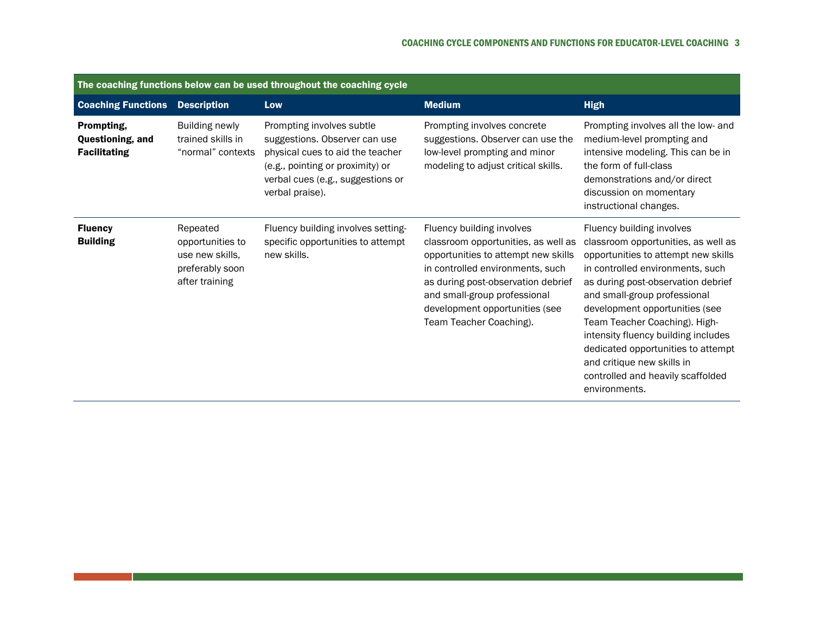| The coaching functions below can be used throughout the coaching cycle |                                                                                      |                                                                                                                                                                                            |                                                                                                                                                                                                                                                                                |                                                                                                                                                                                                                                                                                                                                                                                                                                                       |
|------------------------------------------------------------------------|--------------------------------------------------------------------------------------|--------------------------------------------------------------------------------------------------------------------------------------------------------------------------------------------|--------------------------------------------------------------------------------------------------------------------------------------------------------------------------------------------------------------------------------------------------------------------------------|-------------------------------------------------------------------------------------------------------------------------------------------------------------------------------------------------------------------------------------------------------------------------------------------------------------------------------------------------------------------------------------------------------------------------------------------------------|
| <b>Coaching Functions</b>                                              | <b>Description</b>                                                                   | Low                                                                                                                                                                                        | <b>Medium</b>                                                                                                                                                                                                                                                                  | <b>High</b>                                                                                                                                                                                                                                                                                                                                                                                                                                           |
| Prompting,<br>Questioning, and<br><b>Facilitating</b>                  | <b>Building newly</b><br>trained skills in<br>"normal" contexts                      | Prompting involves subtle<br>suggestions. Observer can use<br>physical cues to aid the teacher<br>(e.g., pointing or proximity) or<br>verbal cues (e.g., suggestions or<br>verbal praise). | Prompting involves concrete<br>suggestions. Observer can use the<br>low-level prompting and minor<br>modeling to adjust critical skills.                                                                                                                                       | Prompting involves all the low- and<br>medium-level prompting and<br>intensive modeling. This can be in<br>the form of full-class<br>demonstrations and/or direct<br>discussion on momentary<br>instructional changes.                                                                                                                                                                                                                                |
| <b>Fluency</b><br><b>Building</b>                                      | Repeated<br>opportunities to<br>use new skills.<br>preferably soon<br>after training | Fluency building involves setting-<br>specific opportunities to attempt<br>new skills.                                                                                                     | Fluency building involves<br>classroom opportunities, as well as<br>opportunities to attempt new skills<br>in controlled environments, such<br>as during post-observation debrief<br>and small-group professional<br>development opportunities (see<br>Team Teacher Coaching). | Fluency building involves<br>classroom opportunities, as well as<br>opportunities to attempt new skills<br>in controlled environments, such<br>as during post-observation debrief<br>and small-group professional<br>development opportunities (see<br>Team Teacher Coaching). High-<br>intensity fluency building includes<br>dedicated opportunities to attempt<br>and critique new skills in<br>controlled and heavily scaffolded<br>environments. |